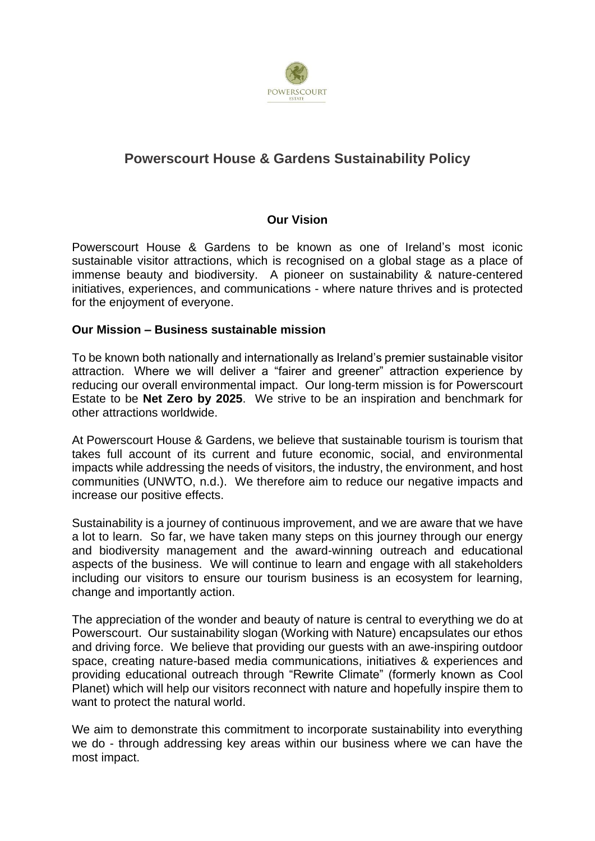

# **Powerscourt House & Gardens Sustainability Policy**

#### **Our Vision**

Powerscourt House & Gardens to be known as one of Ireland's most iconic sustainable visitor attractions, which is recognised on a global stage as a place of immense beauty and biodiversity. A pioneer on sustainability & nature-centered initiatives, experiences, and communications - where nature thrives and is protected for the enjoyment of everyone.

#### **Our Mission – Business sustainable mission**

To be known both nationally and internationally as Ireland's premier sustainable visitor attraction. Where we will deliver a "fairer and greener" attraction experience by reducing our overall environmental impact. Our long-term mission is for Powerscourt Estate to be **Net Zero by 2025**. We strive to be an inspiration and benchmark for other attractions worldwide.

At Powerscourt House & Gardens, we believe that sustainable tourism is tourism that takes full account of its current and future economic, social, and environmental impacts while addressing the needs of visitors, the industry, the environment, and host communities (UNWTO, n.d.). We therefore aim to reduce our negative impacts and increase our positive effects.

Sustainability is a journey of continuous improvement, and we are aware that we have a lot to learn. So far, we have taken many steps on this journey through our energy and biodiversity management and the award-winning outreach and educational aspects of the business. We will continue to learn and engage with all stakeholders including our visitors to ensure our tourism business is an ecosystem for learning, change and importantly action.

The appreciation of the wonder and beauty of nature is central to everything we do at Powerscourt. Our sustainability slogan (Working with Nature) encapsulates our ethos and driving force. We believe that providing our guests with an awe-inspiring outdoor space, creating nature-based media communications, initiatives & experiences and providing educational outreach through "Rewrite Climate" (formerly known as Cool Planet) which will help our visitors reconnect with nature and hopefully inspire them to want to protect the natural world.

We aim to demonstrate this commitment to incorporate sustainability into everything we do - through addressing key areas within our business where we can have the most impact.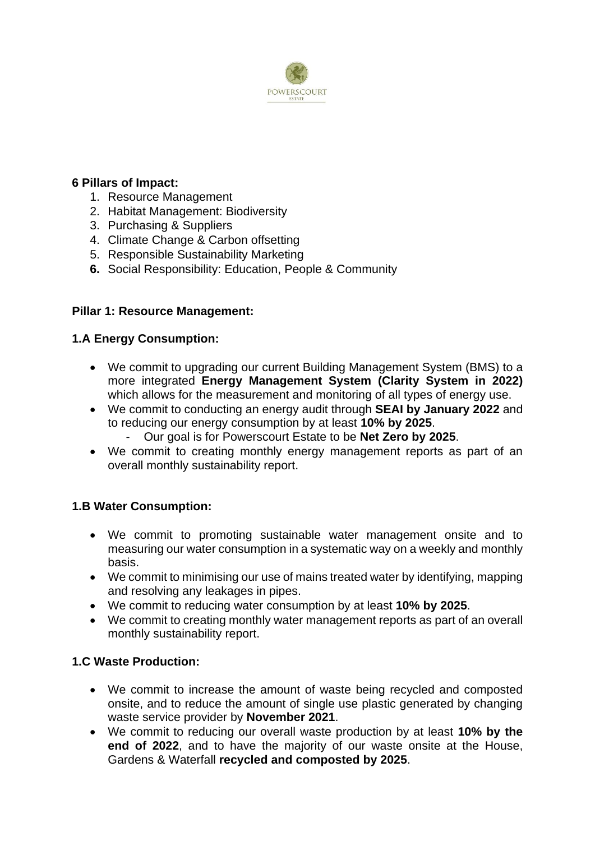

### **6 Pillars of Impact:**

- 1. Resource Management
- 2. Habitat Management: Biodiversity
- 3. Purchasing & Suppliers
- 4. Climate Change & Carbon offsetting
- 5. Responsible Sustainability Marketing
- **6.** Social Responsibility: Education, People & Community

## **Pillar 1: Resource Management:**

## **1.A Energy Consumption:**

- We commit to upgrading our current Building Management System (BMS) to a more integrated **Energy Management System (Clarity System in 2022)** which allows for the measurement and monitoring of all types of energy use.
- We commit to conducting an energy audit through **SEAI by January 2022** and to reducing our energy consumption by at least **10% by 2025**.
	- Our goal is for Powerscourt Estate to be **Net Zero by 2025**.
- We commit to creating monthly energy management reports as part of an overall monthly sustainability report.

## **1.B Water Consumption:**

- We commit to promoting sustainable water management onsite and to measuring our water consumption in a systematic way on a weekly and monthly basis.
- We commit to minimising our use of mains treated water by identifying, mapping and resolving any leakages in pipes.
- We commit to reducing water consumption by at least **10% by 2025**.
- We commit to creating monthly water management reports as part of an overall monthly sustainability report.

## **1.C Waste Production:**

- We commit to increase the amount of waste being recycled and composted onsite, and to reduce the amount of single use plastic generated by changing waste service provider by **November 2021**.
- We commit to reducing our overall waste production by at least **10% by the end of 2022**, and to have the majority of our waste onsite at the House, Gardens & Waterfall **recycled and composted by 2025**.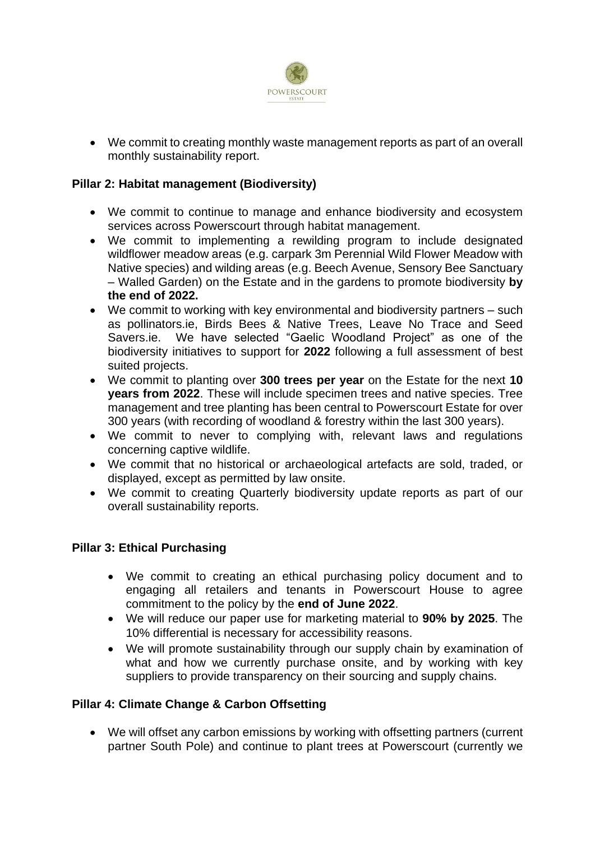

• We commit to creating monthly waste management reports as part of an overall monthly sustainability report.

### **Pillar 2: Habitat management (Biodiversity)**

- We commit to continue to manage and enhance biodiversity and ecosystem services across Powerscourt through habitat management.
- We commit to implementing a rewilding program to include designated wildflower meadow areas (e.g. carpark 3m Perennial Wild Flower Meadow with Native species) and wilding areas (e.g. Beech Avenue, Sensory Bee Sanctuary – Walled Garden) on the Estate and in the gardens to promote biodiversity **by the end of 2022.**
- We commit to working with key environmental and biodiversity partners such as pollinators.ie, Birds Bees & Native Trees, Leave No Trace and Seed Savers.ie. We have selected "Gaelic Woodland Project" as one of the biodiversity initiatives to support for **2022** following a full assessment of best suited projects.
- We commit to planting over **300 trees per year** on the Estate for the next **10 years from 2022**. These will include specimen trees and native species. Tree management and tree planting has been central to Powerscourt Estate for over 300 years (with recording of woodland & forestry within the last 300 years).
- We commit to never to complying with, relevant laws and regulations concerning captive wildlife.
- We commit that no historical or archaeological artefacts are sold, traded, or displayed, except as permitted by law onsite.
- We commit to creating Quarterly biodiversity update reports as part of our overall sustainability reports.

#### **Pillar 3: Ethical Purchasing**

- We commit to creating an ethical purchasing policy document and to engaging all retailers and tenants in Powerscourt House to agree commitment to the policy by the **end of June 2022**.
- We will reduce our paper use for marketing material to **90% by 2025**. The 10% differential is necessary for accessibility reasons.
- We will promote sustainability through our supply chain by examination of what and how we currently purchase onsite, and by working with key suppliers to provide transparency on their sourcing and supply chains.

#### **Pillar 4: Climate Change & Carbon Offsetting**

• We will offset any carbon emissions by working with offsetting partners (current partner South Pole) and continue to plant trees at Powerscourt (currently we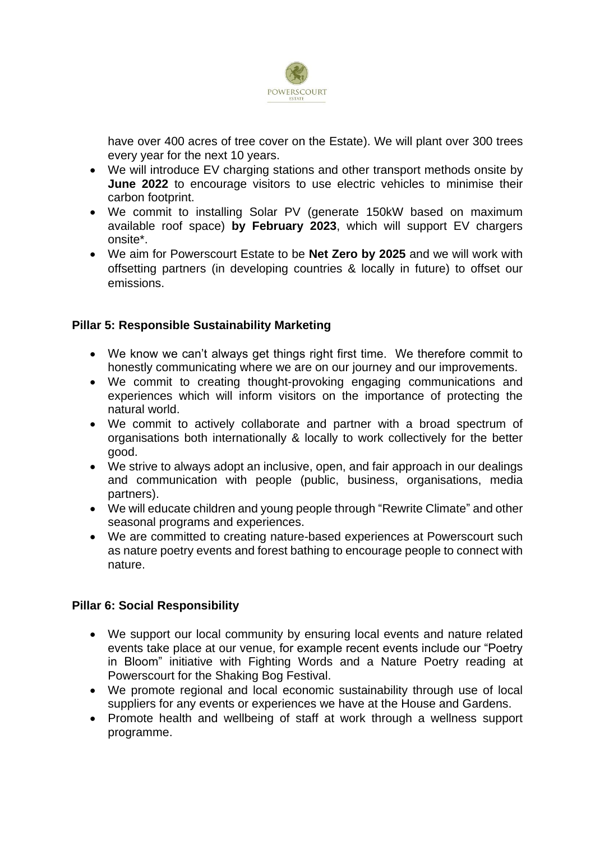

have over 400 acres of tree cover on the Estate). We will plant over 300 trees every year for the next 10 years.

- We will introduce EV charging stations and other transport methods onsite by **June 2022** to encourage visitors to use electric vehicles to minimise their carbon footprint.
- We commit to installing Solar PV (generate 150kW based on maximum available roof space) **by February 2023**, which will support EV chargers onsite\*.
- We aim for Powerscourt Estate to be **Net Zero by 2025** and we will work with offsetting partners (in developing countries & locally in future) to offset our emissions.

#### **Pillar 5: Responsible Sustainability Marketing**

- We know we can't always get things right first time. We therefore commit to honestly communicating where we are on our journey and our improvements.
- We commit to creating thought-provoking engaging communications and experiences which will inform visitors on the importance of protecting the natural world.
- We commit to actively collaborate and partner with a broad spectrum of organisations both internationally & locally to work collectively for the better good.
- We strive to always adopt an inclusive, open, and fair approach in our dealings and communication with people (public, business, organisations, media partners).
- We will educate children and young people through "Rewrite Climate" and other seasonal programs and experiences.
- We are committed to creating nature-based experiences at Powerscourt such as nature poetry events and forest bathing to encourage people to connect with nature.

#### **Pillar 6: Social Responsibility**

- We support our local community by ensuring local events and nature related events take place at our venue, for example recent events include our "Poetry in Bloom" initiative with Fighting Words and a Nature Poetry reading at Powerscourt for the Shaking Bog Festival.
- We promote regional and local economic sustainability through use of local suppliers for any events or experiences we have at the House and Gardens.
- Promote health and wellbeing of staff at work through a wellness support programme.